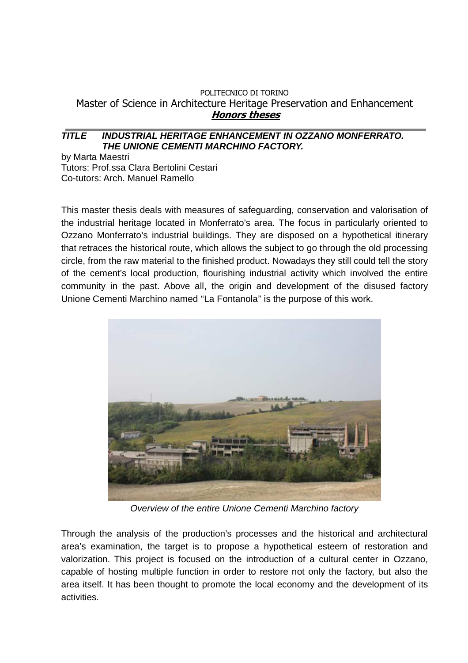## POLITECNICO DI TORINO Master of Science in Architecture Heritage Preservation and Enhancement **Honors theses**

## **TITLE INDUSTRIAL HERITAGE ENHANCEMENT IN OZZANO MONFERRATO. THE UNIONE CEMENTI MARCHINO FACTORY.**

by Marta Maestri Tutors: Prof.ssa Clara Bertolini Cestari Co-tutors: Arch. Manuel Ramello

This master thesis deals with measures of safeguarding, conservation and valorisation of the industrial heritage located in Monferrato's area. The focus in particularly oriented to Ozzano Monferrato's industrial buildings. They are disposed on a hypothetical itinerary that retraces the historical route, which allows the subject to go through the old processing circle, from the raw material to the finished product. Nowadays they still could tell the story of the cement's local production, flourishing industrial activity which involved the entire community in the past. Above all, the origin and development of the disused factory Unione Cementi Marchino named "La Fontanola" is the purpose of this work.



Overview of the entire Unione Cementi Marchino factory

Through the analysis of the production's processes and the historical and architectural area's examination, the target is to propose a hypothetical esteem of restoration and valorization. This project is focused on the introduction of a cultural center in Ozzano, capable of hosting multiple function in order to restore not only the factory, but also the area itself. It has been thought to promote the local economy and the development of its activities.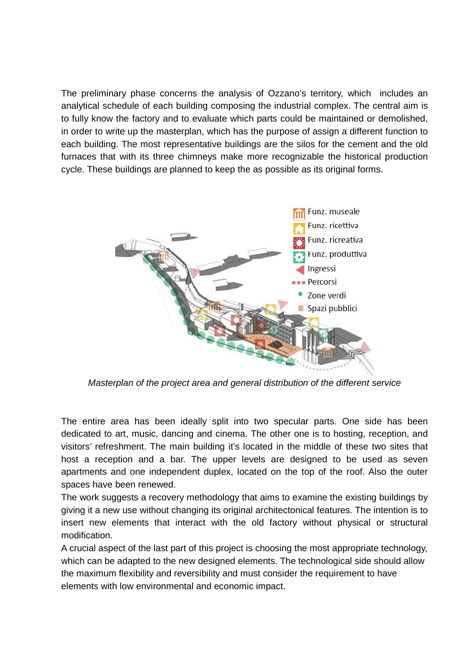The preliminary phase concerns the analysis of Ozzano's territory, which includes an analytical schedule of each building composing the industrial complex. The central aim is to fully know the factory and to evaluate which parts could be maintained or demolished, in order to write up the masterplan, which has the purpose of assign a different function to each building. The most representative buildings are the silos for the cement and the old furnaces that with its three chimneys make more recognizable the historical production cycle. These buildings are planned to keep the as possible as its original forms.



Masterplan of the project area and general distribution of the different service

The entire area has been ideally split into two specular parts. One side has been dedicated to art, music, dancing and cinema. The other one is to hosting, reception, and visitors' refreshment. The main building it's located in the middle of these two sites that host a reception and a bar. The upper levels are designed to be used as seven apartments and one independent duplex, located on the top of the roof. Also the outer spaces have been renewed.

The work suggests a recovery methodology that aims to examine the existing buildings by giving it a new use without changing its original architectonical features. The intention is to insert new elements that interact with the old factory without physical or structural modification.

A crucial aspect of the last part of this project is choosing the most appropriate technology, which can be adapted to the new designed elements. The technological side should allow the maximum flexibility and reversibility and must consider the requirement to have elements with low environmental and economic impact.